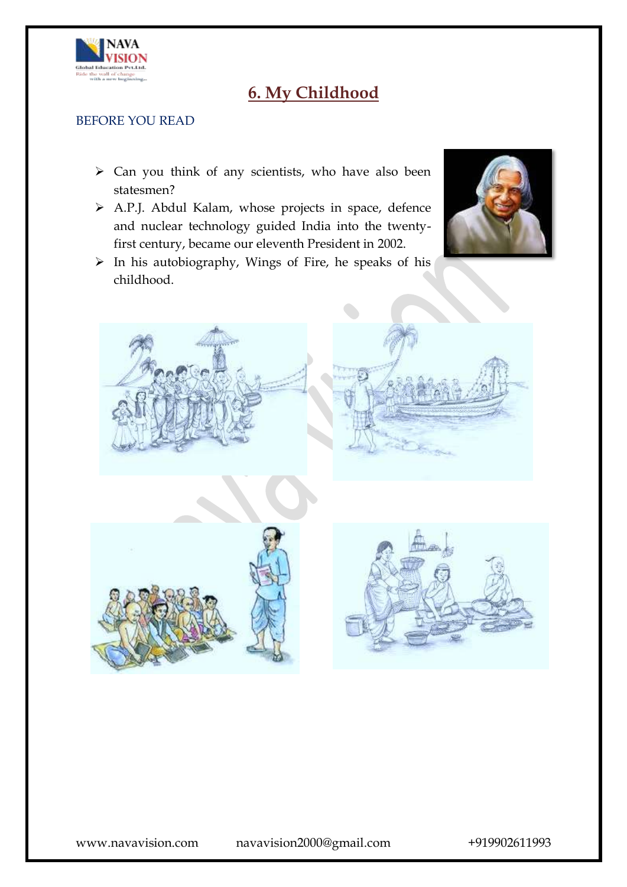

# **6. My Childhood**

#### BEFORE YOU READ

- $\triangleright$  Can you think of any scientists, who have also been statesmen?
- A.P.J. Abdul Kalam, whose projects in space, defence and nuclear technology guided India into the twentyfirst century, became our eleventh President in 2002.
- $\triangleright$  In his autobiography, Wings of Fire, he speaks of his childhood.





www.navavision.com navavision2000@gmail.com +919902611993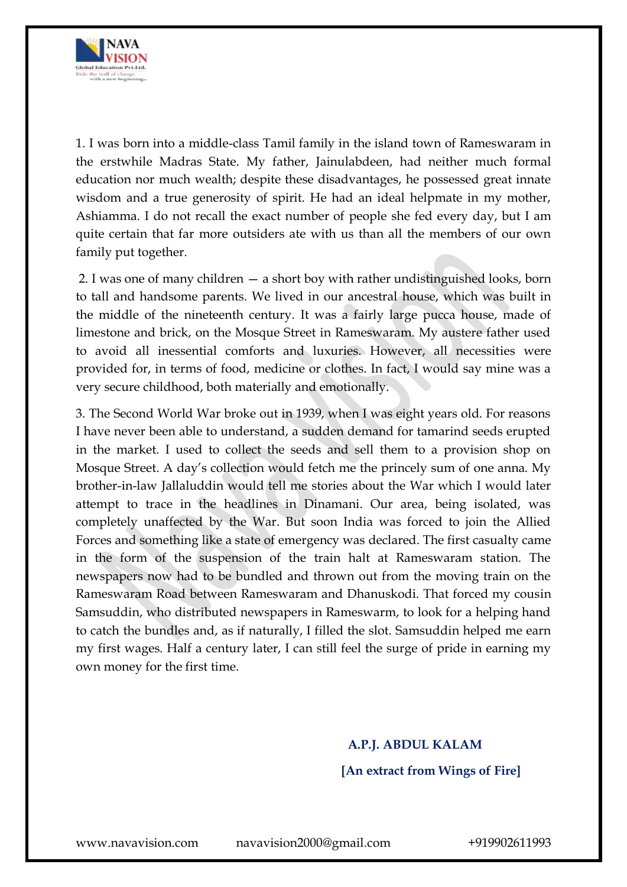

1. I was born into a middle-class Tamil family in the island town of Rameswaram in the erstwhile Madras State. My father, Jainulabdeen, had neither much formal education nor much wealth; despite these disadvantages, he possessed great innate wisdom and a true generosity of spirit. He had an ideal helpmate in my mother, Ashiamma. I do not recall the exact number of people she fed every day, but I am quite certain that far more outsiders ate with us than all the members of our own family put together.

2. I was one of many children — a short boy with rather undistinguished looks, born to tall and handsome parents. We lived in our ancestral house, which was built in the middle of the nineteenth century. It was a fairly large pucca house, made of limestone and brick, on the Mosque Street in Rameswaram. My austere father used to avoid all inessential comforts and luxuries. However, all necessities were provided for, in terms of food, medicine or clothes. In fact, I would say mine was a very secure childhood, both materially and emotionally.

3. The Second World War broke out in 1939, when I was eight years old. For reasons I have never been able to understand, a sudden demand for tamarind seeds erupted in the market. I used to collect the seeds and sell them to a provision shop on Mosque Street. A day's collection would fetch me the princely sum of one anna. My brother-in-law Jallaluddin would tell me stories about the War which I would later attempt to trace in the headlines in Dinamani. Our area, being isolated, was completely unaffected by the War. But soon India was forced to join the Allied Forces and something like a state of emergency was declared. The first casualty came in the form of the suspension of the train halt at Rameswaram station. The newspapers now had to be bundled and thrown out from the moving train on the Rameswaram Road between Rameswaram and Dhanuskodi. That forced my cousin Samsuddin, who distributed newspapers in Rameswarm, to look for a helping hand to catch the bundles and, as if naturally, I filled the slot. Samsuddin helped me earn my first wages. Half a century later, I can still feel the surge of pride in earning my own money for the first time.

## **A.P.J. ABDUL KALAM**

## **[An extract from Wings of Fire]**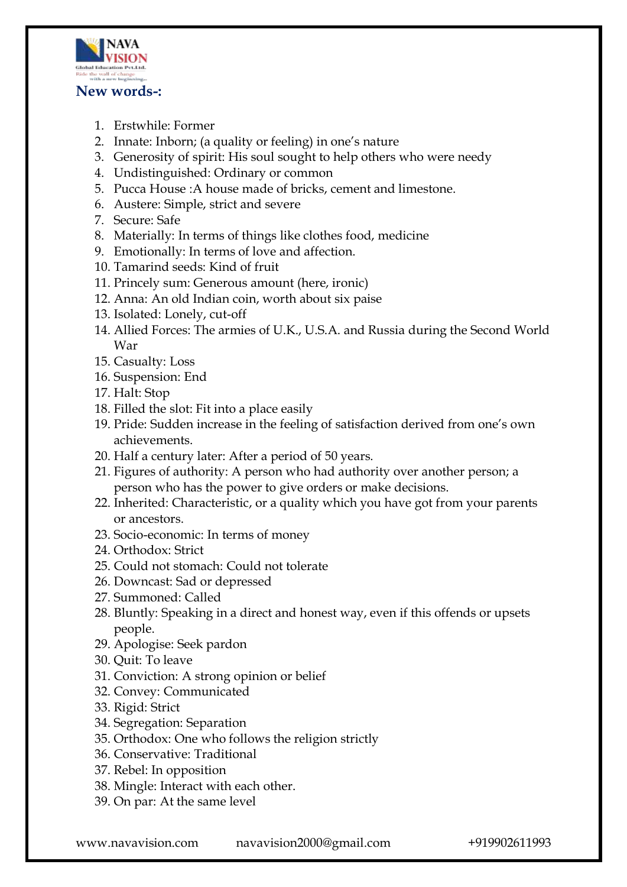

#### **New words-:**

- 1. Erstwhile: Former
- 2. Innate: Inborn; (a quality or feeling) in one's nature
- 3. Generosity of spirit: His soul sought to help others who were needy
- 4. Undistinguished: Ordinary or common
- 5. Pucca House :A house made of bricks, cement and limestone.
- 6. Austere: Simple, strict and severe
- 7. Secure: Safe
- 8. Materially: In terms of things like clothes food, medicine
- 9. Emotionally: In terms of love and affection.
- 10. Tamarind seeds: Kind of fruit
- 11. Princely sum: Generous amount (here, ironic)
- 12. Anna: An old Indian coin, worth about six paise
- 13. Isolated: Lonely, cut-off
- 14. Allied Forces: The armies of U.K., U.S.A. and Russia during the Second World War
- 15. Casualty: Loss
- 16. Suspension: End
- 17. Halt: Stop
- 18. Filled the slot: Fit into a place easily
- 19. Pride: Sudden increase in the feeling of satisfaction derived from one's own achievements.
- 20. Half a century later: After a period of 50 years.
- 21. Figures of authority: A person who had authority over another person; a person who has the power to give orders or make decisions.
- 22. Inherited: Characteristic, or a quality which you have got from your parents or ancestors.
- 23. Socio-economic: In terms of money
- 24. Orthodox: Strict
- 25. Could not stomach: Could not tolerate
- 26. Downcast: Sad or depressed
- 27. Summoned: Called
- 28. Bluntly: Speaking in a direct and honest way, even if this offends or upsets people.
- 29. Apologise: Seek pardon
- 30. Quit: To leave
- 31. Conviction: A strong opinion or belief
- 32. Convey: Communicated
- 33. Rigid: Strict
- 34. Segregation: Separation
- 35. Orthodox: One who follows the religion strictly
- 36. Conservative: Traditional
- 37. Rebel: In opposition
- 38. Mingle: Interact with each other.
- 39. On par: At the same level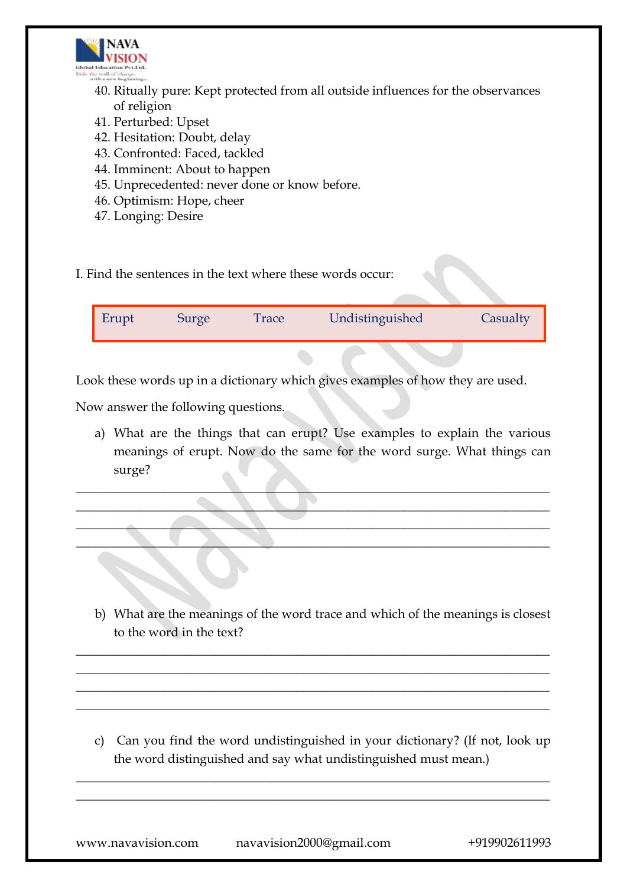

- 40. Ritually pure: Kept protected from all outside influences for the observances of religion
- 41. Perturbed: Upset
- 42. Hesitation: Doubt, delay
- 43. Confronted: Faced, tackled
- 44. Imminent: About to happen
- 45. Unprecedented: never done or know before.
- 46. Optimism: Hope, cheer
- 47. Longing: Desire

I. Find the sentences in the text where these words occur:

| $\vert$ Erupt | Surge | Trace | Undistinguished | Casualty |
|---------------|-------|-------|-----------------|----------|
|               |       |       |                 |          |

Look these words up in a dictionary which gives examples of how they are used.

Now answer the following questions.

a) What are the things that can erupt? Use examples to explain the various meanings of erupt. Now do the same for the word surge. What things can surge?

\_\_\_\_\_\_\_\_\_\_\_\_\_\_\_\_\_\_\_\_\_\_\_\_\_\_\_\_\_\_\_\_\_\_\_\_\_\_\_\_\_\_\_\_\_\_\_\_\_\_\_\_\_\_\_\_\_\_\_\_\_\_\_\_\_\_\_\_\_\_\_\_\_\_\_ \_\_\_\_\_\_\_\_\_\_\_\_\_\_\_\_\_\_\_\_\_\_\_\_\_\_\_\_\_\_\_\_\_\_\_\_\_\_\_\_\_\_\_\_\_\_\_\_\_\_\_\_\_\_\_\_\_\_\_\_\_\_\_\_\_\_\_\_\_\_\_\_\_\_\_  $\blacksquare$  $\blacksquare$ 

b) What are the meanings of the word trace and which of the meanings is closest to the word in the text?

\_\_\_\_\_\_\_\_\_\_\_\_\_\_\_\_\_\_\_\_\_\_\_\_\_\_\_\_\_\_\_\_\_\_\_\_\_\_\_\_\_\_\_\_\_\_\_\_\_\_\_\_\_\_\_\_\_\_\_\_\_\_\_\_\_\_\_\_\_\_\_\_\_\_\_ \_\_\_\_\_\_\_\_\_\_\_\_\_\_\_\_\_\_\_\_\_\_\_\_\_\_\_\_\_\_\_\_\_\_\_\_\_\_\_\_\_\_\_\_\_\_\_\_\_\_\_\_\_\_\_\_\_\_\_\_\_\_\_\_\_\_\_\_\_\_\_\_\_\_\_ \_\_\_\_\_\_\_\_\_\_\_\_\_\_\_\_\_\_\_\_\_\_\_\_\_\_\_\_\_\_\_\_\_\_\_\_\_\_\_\_\_\_\_\_\_\_\_\_\_\_\_\_\_\_\_\_\_\_\_\_\_\_\_\_\_\_\_\_\_\_\_\_\_\_\_ \_\_\_\_\_\_\_\_\_\_\_\_\_\_\_\_\_\_\_\_\_\_\_\_\_\_\_\_\_\_\_\_\_\_\_\_\_\_\_\_\_\_\_\_\_\_\_\_\_\_\_\_\_\_\_\_\_\_\_\_\_\_\_\_\_\_\_\_\_\_\_\_\_\_\_

c) Can you find the word undistinguished in your dictionary? (If not, look up the word distinguished and say what undistinguished must mean.)

\_\_\_\_\_\_\_\_\_\_\_\_\_\_\_\_\_\_\_\_\_\_\_\_\_\_\_\_\_\_\_\_\_\_\_\_\_\_\_\_\_\_\_\_\_\_\_\_\_\_\_\_\_\_\_\_\_\_\_\_\_\_\_\_\_\_\_\_\_\_\_\_\_\_\_ \_\_\_\_\_\_\_\_\_\_\_\_\_\_\_\_\_\_\_\_\_\_\_\_\_\_\_\_\_\_\_\_\_\_\_\_\_\_\_\_\_\_\_\_\_\_\_\_\_\_\_\_\_\_\_\_\_\_\_\_\_\_\_\_\_\_\_\_\_\_\_\_\_\_\_